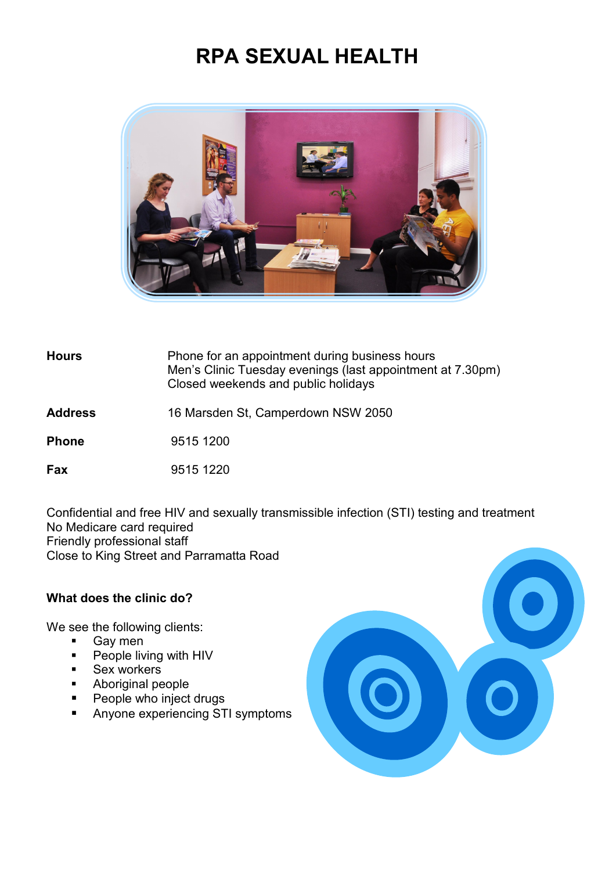# **RPA SEXUAL HEALTH**



## **Hours** Phone for an appointment during business hours Men's Clinic Tuesday evenings (last appointment at 7.30pm) Closed weekends and public holidays

#### **Address** 16 Marsden St, Camperdown NSW 2050

**Phone** 9515 1200

**Fax** 9515 1220

Confidential and free HIV and sexually transmissible infection (STI) testing and treatment No Medicare card required Friendly professional staff Close to King Street and Parramatta Road

#### **What does the clinic do?**

We see the following clients:

- Gay men
- **People living with HIV**
- **Sex workers**
- **Aboriginal people**
- **People who inject drugs**
- **Anyone experiencing STI symptoms**

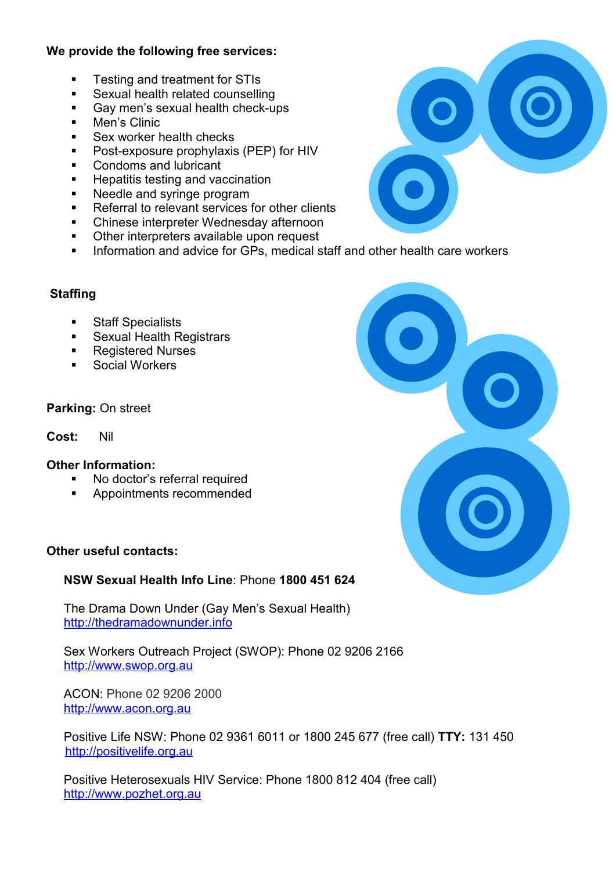## **We provide the following free services:**

- **Testing and treatment for STIs**
- **Sexual health related counselling**
- Gay men's sexual health check-ups
- Men's Clinic
- Sex worker health checks
- Post-exposure prophylaxis (PEP) for HIV
- **Condoms and lubricant**
- **Hepatitis testing and vaccination**
- Needle and syringe program
- Referral to relevant services for other clients
- Chinese interpreter Wednesday afternoon
- Other interpreters available upon request
- **Information and advice for GPs, medical staff and other health care workers**

## **Staffing**

- **Staff Specialists**
- Sexual Health Registrars
- Registered Nurses
- Social Workers

#### **Parking:** On street

### **Cost:** Nil

#### **Other Information:**

- No doctor's referral required
- **Appointments recommended**

#### **Other useful contacts:**

## **NSW Sexual Health Info Line**: Phone **1800 451 624**

The Drama Down Under (Gay Men's Sexual Health) [http://thedramadownunder.info](http://thedramadownunder.info/)

Sex Workers Outreach Project (SWOP): Phone 02 9206 2166 [http://www.swop.org.au](http://www.swop.org.au/)

ACON: Phone 02 9206 2000 [http://www.acon.org.au](http://www.acon.org.au/)

Positive Life NSW: Phone 02 9361 6011 or 1800 245 677 (free call) **TTY:** 131 450 [http://positivelife.org.au](http://positivelife.org.au/)

Positive Heterosexuals HIV Service: Phone 1800 812 404 (free call) [http://www.pozhet.org.au](http://www.pozhet.org.au/)



| $\bullet$ |
|-----------|
| $\bullet$ |
|           |